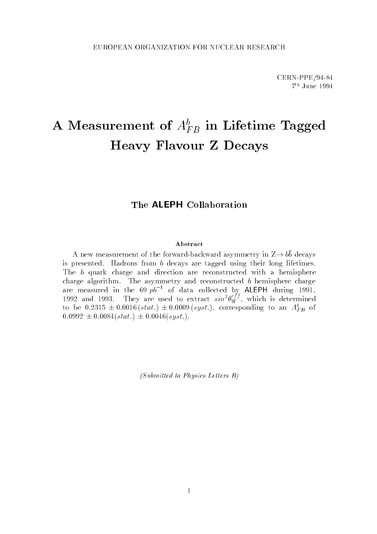# A Measurement of  $A_{FB}^{\scriptscriptstyle b}$  in Lifetime Tagged Heavy Flavour Z Decays

# The ALEPH Collaboration

#### Abstract

A new measurement of the forward-backward asymmetry in  $\Delta \rightarrow 00$  decays is presented. Hadrons from b decays are tagged using their long lifetimes. The b quark charge and direction are reconstructed with a hemisphere are measured in the 69  $p\overline{b}^{-1}$  of data collected by ALEPH during 1991, 1992 and 1993. They are used to extract  $sin^2\theta_W^{es}$ , which is determined to be 0.2315  $\pm$  0.0016 (stat.)  $\pm$  0.0009 (syst.), corresponding to an  $A_{FB}^-$  of  $0.0992 \pm 0.0084(stat.) \pm 0.0046(syst.).$ 

(Submitted to Physics Letters B)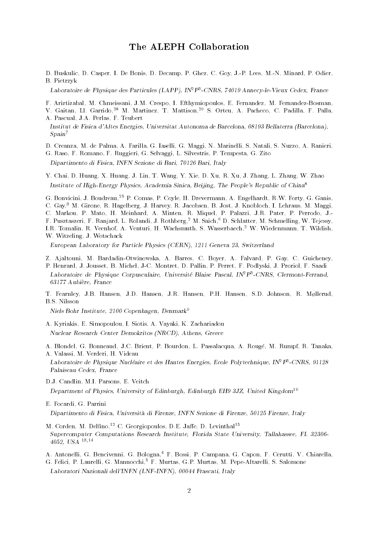## The ALEPH Collaboration

D. Buskulic, D. Casper, I. De Bonis, D. Decamp, P. Ghez, C. Goy, J.-P. Lees, M.-N. Minard, P. Odier, B. Pietrzyk

Laboratoire de Physique des Particules (LAPP), IN2P3 -CNRS, 74019 Annecy-le-Vieux Cedex, France

F. Ariztizabal, M. Chmeissani, J.M. Crespo, I. Efthymiopoulos, E. Fernandez, M. Fernandez-Bosman,

V. Gaitan, Ll. Garrido,<sup>28</sup> M. Martinez, T. Mattison,<sup>29</sup> S. Orteu, A. Pacheco, C. Padilla, F. Palla, A. Pascual, J.A. Perlas, F. Teubert

- Institut de Fisica d'Altes Energies, Universitat Autonoma de Barcelona, 08193 Bellaterra (Barcelona),  $Span<sup>7</sup>$
- D. Creanza, M. de Palma, A. Farilla, G. Iaselli, G. Maggi, N. Marinelli, S. Natali, S. Nuzzo, A. Ranieri,

G. Raso, F. Romano, F. Ruggieri, G. Selvaggi, L. Silvestris, P. Tempesta, G. Zito Dipartimento di Fisica, INFN Sezione di Bari, 70126 Bari, Italy

Y. Chai, D. Huang, X. Huang, J. Lin, T. Wang, Y. Xie, D. Xu, R. Xu, J. Zhang, L. Zhang, W. Zhao Institute of High-Energy Physics, Academia Sinica, Beijing, The People's Republic of China<sup>8</sup>

G. Bonvicini, J. Boudreau,25 P. Comas, P. Coyle, H. Drevermann, A. Engelhardt, R.W. Forty, G. Ganis, C. Gay,<sup>3</sup> M. Girone, R. Hagelberg, J. Harvey, R. Jacobsen, B. Jost, J. Knobloch, I. Lehraus, M. Maggi, C. Markou, P. Mato, H. Meinhard, A. Minten, R. Miquel, P. Palazzi, J.R. Pater, P. Perrodo, J.- F. Pusztaszeri, F. Ranjard, L. Rolandi, J. Rothberg,<sup>2</sup> M. Saich,6 D. Schlatter, M. Schmelling, W. Tejessy, I.R. Tomalin, R. Veenhof, A. Venturi, H. Wachsmuth, S. Wasserbaech,<sup>2</sup> W. Wiedenmann, T. Wildish, W. Witzeling, J. Wotschack

European Laboratory for Particle Physics (CERN), 1211 Geneva 23, Switzerland

- Z. Ajaltouni, M. Bardadin-Otwinowska, A. Barres, C. Boyer, A. Falvard, P. Gay, C. Guicheney,
- P. Henrard, J. Jousset, B. Michel, J-C. Montret, D. Pallin, P. Perret, F. Podlyski, J. Proriol, F. Saadi Laboratoire de Physique Corpusculaire, Universite Blaise Pascal, INTP-CNRS, Clermont-Ferrand, 63177 Aubiere, France
- T. Fearnley, J.B. Hansen, J.D. Hansen, J.R. Hansen, P.H. Hansen, S.D. Johnson, R. Møllerud, B.S. Nilsson

Niels Bohr Institute, 2100 Copenhagen, Denmark<sup>9</sup>

A. Kyriakis, E. Simopoulou, I. Siotis, A. Vayaki, K. Zachariadou Nuclear Research Center Demokritos (NRCD), Athens, Greece

A. Blondel, G. Bonneaud, J.C. Brient, P. Bourdon, L. Passalacqua, A. Rouge, M. Rumpf, R. Tanaka, A. Valassi, M. Verderi, H. Videau

Laboratoire de Physique Nucleaire et des Hautes Energies, Ecole Polytechnique, IN2P3 -CNRS, 91128 Palaiseau Cedex, France

D.J. Candlin, M.I. Parsons, E. Veitch Department of Physics, University of Edinburgh, Edinburgh EH9 3JZ, United Kingdom<sup>10</sup>

E. Focardi, G. Parrini Dipartimento di Fisica, Universita di Firenze, INFN Sezione di Firenze, 50125 Firenze, Italy

- M. Corden, M. Delfino,  $^{12}$  C. Georgiopoulos, D.E. Jaffe, D. Levinthal<sup>15</sup> Supercomputer Computations Research Institute, Florida State University, Tallahassee, FL 32306- 4052, USA 13;14
- A. Antonelli, G. Bencivenni, G. Bologna,<sup>4</sup> F. Bossi, P. Campana, G. Capon, F. Cerutti, V. Chiarella,
- G. Felici, P. Laurelli, G. Mannocchi,<sup>5</sup> F. Murtas, G.P. Murtas, M. Pepe-Altarelli, S. Salomone Laboratori Nazionali dell'INFN (LNF-INFN), 00044 Frascati, Italy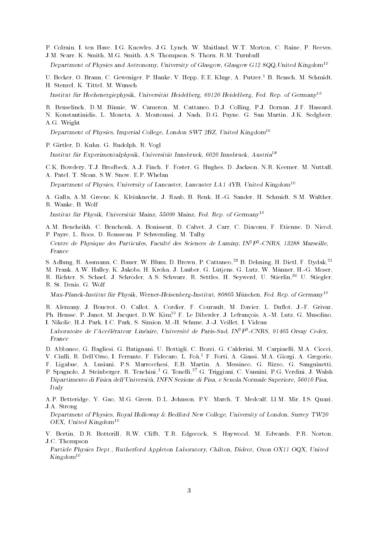P. Colrain, I. ten Have, I.G. Knowles, J.G. Lynch, W. Maitland, W.T. Morton, C. Raine, P. Reeves, J.M. Scarr, K. Smith, M.G. Smith, A.S. Thompson, S. Thorn, R.M. Turnbull

Department of Physics and Astronomy, University of Glasgow, Glasgow G12 8QQ,United Kingdom<sup>10</sup>

U. Becker, O. Braun, C. Geweniger, P. Hanke, V. Hepp, E.E. Kluge, A. Putzer,<sup>1</sup> B. Rensch, M. Schmidt, H. Stenzel, K. Tittel, M. Wunsch

Institut für Hochenergiephysik, Universität Heidelberg, 69120 Heidelberg, Fed. Rep. of Germany<sup>16</sup>

R. Beuselinck, D.M. Binnie, W. Cameron, M. Cattaneo, D.J. Colling, P.J. Dornan, J.F. Hassard, N. Konstantinidis, L. Moneta, A. Moutoussi, J. Nash, D.G. Payne, G. San Martin, J.K. Sedgbeer, A.G. Wright

Department of Physics, Imperial College, London SW7 2BZ, United Kingdom<sup>10</sup>

P. Girtler, D. Kuhn, G. Rudolph, R. Vogl

Institut fur Experimentalphysik, Universitat Innsbruck, 6020 Innsbruck, Austria<sup>18</sup>

C.K. Bowdery, T.J. Brodbeck, A.J. Finch, F. Foster, G. Hughes, D. Jackson, N.R. Keemer, M. Nuttall, A. Patel, T. Sloan, S.W. Snow, E.P. Whelan

Department of Physics, University of Lancaster, Lancaster LA1 4YB, United Kingdom<sup>10</sup>

A. Galla, A.M. Greene, K. Kleinknecht, J. Raab, B. Renk, H.-G. Sander, H. Schmidt, S.M. Walther, R. Wanke, B. Wolf

Institut fur Physik, Universitat Mainz, 55099 Mainz, Fed. Rep. of Germany<sup>16</sup>

A.M. Bencheikh, C. Benchouk, A. Bonissent, D. Calvet, J. Carr, C. Diaconu, F. Etienne, D. Nicod, P. Payre, L. Roos, D. Rousseau, P. Schwemling, M. Talby

Centre de Physique des Particules, Faculte des Sciences de Luminy, IN<sup>2</sup>P<sup>3</sup>-CNRS, 13288 Marseille,

S. Adlung, R. Assmann, C. Bauer, W. Blum, D. Brown, P. Cattaneo,<sup>23</sup> B. Dehning, H. Dietl, F. Dydak,<sup>21</sup>

M. Frank, A.W. Halley, K. Jakobs, H. Kroha, J. Lauber, G. Lutjens, G. Lutz, W. Manner, H.-G. Moser,

R. Richter, S. Schael, J. Schroder, A.S. Schwarz, R. Settles, H. Seywerd, U. Stierlin,30 U. Stiegler, R. St. Denis, G. Wolf

 $Max-Planck-Institut für Physik, Werner-Heisenberg-Institut, 80805 München, Fed. Rep. of Germany<sup>16</sup>$ 

R. Alemany, J. Boucrot, O. Callot, A. Cordier, F. Courault, M. Davier, L. Duflot, J.-F. Grivaz, Ph. Heusse, P. Janot, M. Jacquet, D.W. Kim<sup>19</sup> F. Le Diberder, J. Lefrançois, A.-M. Lutz, G. Musolino, I. Nikolic, H.J. Park, I.C. Park, S. Simion, M.-H. Schune, J.-J. Veillet, I. Videau

- Laboratoire de l'Accélérateur Linéaire, Université de Paris-Sud, IN<sup>2</sup>P<sup>3</sup>-CNRS, 91405 Orsay Cedex, France
- D. Abbaneo, G. Bagliesi, G. Batignani, U. Bottigli, C. Bozzi, G. Calderini, M. Carpinelli, M.A. Ciocci,
- V. Ciulli, R. Dell'Orso, I. Ferrante, F. Fidecaro, L. Foa,1 F. Forti, A. Giassi, M.A. Giorgi, A. Gregorio,
- F. Ligabue, A. Lusiani, P.S. Marrocchesi, E.B. Martin, A. Messineo, G. Rizzo, G. Sanguinetti,
- P. Spagnolo, J. Steinberger, R. Tenchini,<sup>1</sup> G. Tonelli,<sup>27</sup> G. Triggiani, C. Vannini, P.G. Verdini, J. Walsh Dipartimento di Fisica dell'Universita, INFN Sezione di Pisa, e Scuola Normale Superiore, 56010 Pisa, Italy
- A.P. Betteridge, Y. Gao, M.G. Green, D.L. Johnson, P.V. March, T. Medcalf, Ll.M. Mir, I.S. Quazi,
- J.A. Strong

Department of Physics, Royal Holloway & Bedford New College, University of London, Surrey TW20 OEX, United Kingdom<sup>10</sup>

V. Bertin, D.R. Botterill, R.W. Clifft, T.R. Edgecock, S. Haywood, M. Edwards, P.R. Norton, J.C. Thompson

Particle Physics Dept., Rutherford Appleton Laboratory, Chilton, Didcot, Oxon OX11 OQX, United  $Kingdom^{10}$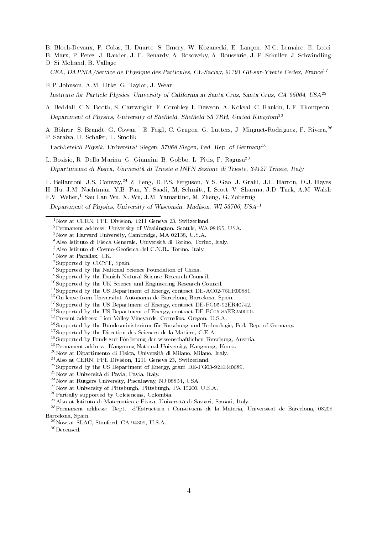- B. Bloch-Devaux, P. Colas, H. Duarte, S. Emery, W. Kozanecki, E. Lancon, M.C. Lemaire, E. Locci,
- B. Marx, P. Perez, J. Rander, J.-F. Renardy, A. Rosowsky, A. Roussarie, J.-P. Schuller, J. Schwindling, D. Si Mohand, B. Vallage
- CEA, DAPNIA/Service de Physique des Particules, CE-Saclay, 91191 Gif-sur-Yvette Cedex, France<sup>17</sup>
- R.P. Johnson, A.M. Litke, G. Taylor, J. Wear Institute for Particle Physics, University of California at Santa Cruz, Santa Cruz, CA 95064, USA<sup>22</sup>
- A. Beddall, C.N. Booth, S. Cartwright, F. Combley, I. Dawson, A. Koksal, C. Rankin, L.F. Thompson Department of Physics, University of Sheffield, Sheffield S3 7RH, United Kingdom<sup>10</sup>

A. Böhrer, S. Brandt, G. Cowan,<sup>1</sup> E. Feigl, C. Grupen, G. Lutters, J. Minguet-Rodriguez, F. Rivera,<sup>26</sup> P. Saraiva, U. Schafer, L. Smolik

Fachbereich Physik, Universität Siegen, 57068 Siegen, Fed. Rep. of Germany<sup>16</sup>

- L. Bosisio, R. Della Marina, G. Giannini, B. Gobbo, L. Pitis, F. Ragusa20 Dipartimento di Fisica, Universita di Trieste e INFN Sezione di Trieste, 34127 Trieste, Italy
- L. Bellantoni, J.S. Conway, 24 Z. Feng, D.P.S. Ferguson, Y.S. Gao, J. Grahl, J.L. Harton, O.J. Hayes, H. Hu, J.M. Nachtman, Y.B. Pan, Y. Saadi, M. Schmitt, I. Scott, V. Sharma, J.D. Turk, A.M. Walsh,

F.V. Weber,<sup>1</sup> Sau Lan Wu, X. Wu, J.M. Yamartino, M. Zheng, G. Zobernig

Department of Physics, University of Wisconsin, Madison, WI 53706, USA11

- 4Also Istituto di Fisica Generale, Universita di Torino, Torino, Italy.
- <sup>5</sup>Also Istituto di Cosmo-Geofisica del C.N.R., Torino, Italy.
- ${}^6$ Now at Parallax, UK.
- 7Supported by CICYT, Spain.

- 9Supported by the Danish Natural Science Research Council.
- 10Supported by the UK Science and Engineering Research Council.
- <sup>11</sup>Supported by the US Department of Energy, contract DE-AC02-76ER00881.
- 12On leave from Universitat Autonoma de Barcelona, Barcelona, Spain.
- <sup>13</sup>Supported by the US Department of Energy, contract DE-FG05-92ER40742.
- <sup>14</sup>Supported by the US Department of Energy, contract DE-FC05-85ER250000.
- 15Present address: Lion Valley Vineyards, Cornelius, Oregon, U.S.A.
- <sup>16</sup>Supported by the Bundesministerium für Forschung und Technologie, Fed. Rep. of Germany.

<sup>17</sup>Supported by the Direction des Sciences de la Matière, C.E.A.

- <sup>18</sup>Supported by Fonds zur Förderung der wissenschaftlichen Forschung, Austria.
- 19Permanent address: Kangnung National University, Kangnung, Korea.
- 20Now at Dipartimento di Fisica, Universita di Milano, Milano, Italy.

- 22Supported by the US Department of Energy, grant DE-FG03-92ER40689.
- 23Now at Universita di Pavia, Pavia, Italy.

- 25Now at University of Pittsburgh, Pittsburgh, PA 15260, U.S.A.
- 26Partially supported by Colciencias, Colombia.
- 27Also at Istituto di Matematica e Fisica, Universita di Sassari, Sassari, Italy.

28Permanent address: Dept. d'Estructura i Constituens de la Materia, Universitat de Barcelona, 08208 Barcelona, Spain.

30Deceased.

<sup>&</sup>lt;sup>1</sup>Now at CERN, PPE Division, 1211 Geneva 23, Switzerland.

<sup>2</sup>Permanent address: University of Washington, Seattle, WA 98195, USA.

<sup>3</sup>Now at Harvard University, Cambridge, MA 02138, U.S.A.

<sup>8</sup>Supported by the National Science Foundation of China.

<sup>21</sup>Also at CERN, PPE Division, 1211 Geneva 23, Switzerland.

<sup>24</sup>Now at Rutgers University, Piscataway, NJ 08854, USA.

<sup>29</sup>Now at SLAC, Stanford, CA 94309, U.S.A.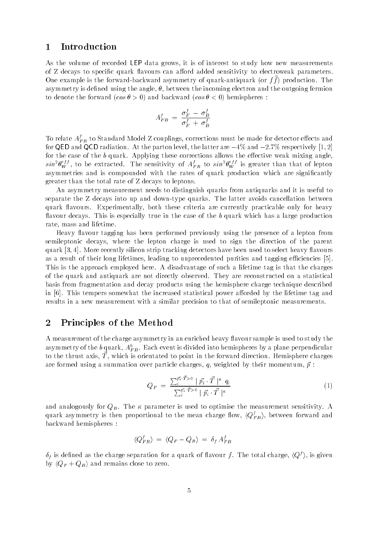#### 1 Introduction

As the volume of recorded LEP data grows, it is of interest to study how new measurements of Z decays to specific quark flavours can afford added sensitivity to electroweak parameters. One example is the forward-backward asymmetry of quark-antiquark (or f f ) production. The asymmetry is defined using the angle,  $\theta$ , between the incoming electron and the outgoing fermion to denote the forward  $(\cos \theta > 0)$  and backward  $(\cos \theta < 0)$  hemispheres:

$$
A_{FB}^f \;=\; \frac{\sigma_F^f \;-\; \sigma_B^f}{\sigma_F^f \;+\; \sigma_B^f}
$$

To relate  $A_{FB}^f$  to Standard Model Z couplings, corrections must be made for detector effects and for QED and QCD radiation. At the parton level, the latter are  $-4\%$  and  $-2.7\%$  respectively [1, 2] for the case of the  $b$  quark. Applying these corrections allows the effective weak mixing angle,  $sin^2\theta_W^{eff}$ , to be extracted. The sensitivity of  $A_{FB}^f$  to  $sin^2\theta_W^{eff}$  is greater than that of lepton asymmetries and is compounded with the rates of quark production which are significantly greater than the total rate of Z decays to leptons.

An asymmetry measurement needs to distinguish quarks from antiquarks and it is useful to separate the Z decays into up and down-type quarks. The latter avoids cancellation between quark flavours. Experimentally, both these criteria are currently practicable only for heavy flavour decays. This is especially true in the case of the b quark which has a large production rate, mass and lifetime.

Heavy flavour tagging has been performed previously using the presence of a lepton from semileptonic decays, where the lepton charge is used to sign the direction of the parent quark [3, 4]. More recently silicon strip tracking detectors have been used to select heavy flavours as a result of their long lifetimes, leading to unprecedented purities and tagging efficiencies [5]. This is the approach employed here. A disadvantage of such a lifetime tag is that the charges of the quark and antiquark are not directly observed. They are reconstructed on a statistical basis from fragmentation and decay products using the hemisphere charge technique described in  $[6]$ . This tempers somewhat the increased statistical power afforded by the lifetime tag and results in a new measurement with a similar precision to that of semileptonic measurements.

## 2 Principles of the Method

A measurement of the charge asymmetry in an enriched heavy flavour sample is used to study the asymmetry of the  $b$  quark,  $A_{FB}^b$ . Each event is divided into hemispheres by a plane perpendicular to the thrust axis,  $\overline{T}$ , which is orientated to point in the forward direction. Hemisphere charges are formed using a summation over particle charges, q, weighted by their momentum,  $\vec{p}$ :

$$
Q_F = \frac{\sum_{i}^{\vec{p_i} \cdot \vec{T}} > 0 \mid \vec{p_i} \cdot \vec{T} \mid^{\kappa} q_i}{\sum_{i}^{\vec{p_i} \cdot \vec{T}} > 0 \mid \vec{p_i} \cdot \vec{T} \mid^{\kappa}}
$$
\n
$$
\tag{1}
$$

and analogously for  $Q_B$ . The  $\kappa$  parameter is used to optimise the measurement sensitivity. A quark asymmetry is then proportional to the mean charge flow,  $\langle Q_{FB}^{f}\rangle,$  between forward and backward hemispheres :

$$
\langle Q_{FB}^f \rangle \; = \; \langle Q_F - Q_B \rangle \; = \; \delta_f \; A_{FB}^f
$$

 $\delta_f$  is defined as the charge separation for a quark of flavour f. The total charge,  $\langle Q^f \rangle$ , is given by  $\langle Q_F + Q_B \rangle$  and remains close to zero.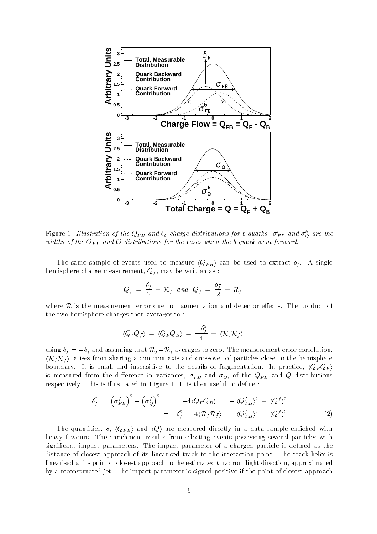

Figure 1: Illustration of the  $Q_{FB}$  and  $Q$  charge distributions for b quarks.  $\sigma_{FB}^b$  and  $\sigma_Q^b$  are the widths of the  $Q_{FB}$  and Q distributions for the cases when the b quark went forward.

The same sample of events used to measure  $\langle Q_{FB} \rangle$  can be used to extract  $\delta_f$ . A single hemisphere charge measurement,  $Q_f$ , may be written as :

$$
Q_f = \frac{\delta_f}{2} + \mathcal{R}_f \quad and \quad Q_{\bar{f}} = \frac{\delta_{\bar{f}}}{2} + \mathcal{R}_{\bar{f}}
$$

where  $\mathcal R$  is the measurement error due to fragmentation and detector effects. The product of the two hemisphere charges then averages to :

$$
\langle Q_f Q_{\bar{f}} \rangle = \langle Q_F Q_B \rangle = \frac{-\delta_f^2}{4} + \langle \mathcal{R}_f \mathcal{R}_{\bar{f}} \rangle
$$

using  $\delta_f = -\delta_{\bar{f}}$  and assuming that  $\mathcal{R}_f - \mathcal{R}_{\bar{f}}$  averages to zero. The measurement error correlation,  $\langle \mathcal{R}_f \mathcal{R}_f \rangle$ , arises from sharing a common axis and crossover of particles close to the hemisphere boundary. It is small and insensitive to the details of fragmentation. In practice,  $\langle Q_F Q_B \rangle$ is measured from the difference in variances,  $\sigma_{FB}$  and  $\sigma_Q$ , of the  $Q_{FB}$  and Q distributions respectively. This is illustrated in Figure 1. It is then useful to define :

$$
\overline{\delta}_f^2 = \left(\sigma_{FB}^f\right)^2 - \left(\sigma_Q^f\right)^2 = -4\langle Q_F Q_B \rangle - \langle Q_{FB}^f \rangle^2 + \langle Q^f \rangle^2
$$
  
=  $\delta_f^2 - 4\langle R_f R_f \rangle - \langle Q_{FB}^f \rangle^2 + \langle Q^f \rangle^2$  (2)

The quantities,  $\sigma$ ,  $\langle QFB \rangle$  and  $\langle Q \rangle$  are measured directly in a data sample enriched with heavy flavours. The enrichment results from selecting events possessing several particles with significant impact parameters. The impact parameter of a charged particle is defined as the distance of closest approach of its linearised track to the interaction point. The track helix is linearised at its point of closest approach to the estimated  $b$  hadron flight direction, approximated by a reconstructed jet. The impact parameter is signed positive if the point of closest approach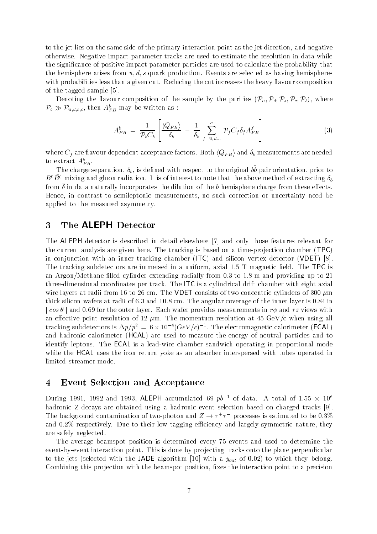to the jet lies on the same side of the primary interaction point as the jet direction, and negative otherwise. Negative impact parameter tracks are used to estimate the resolution in data while the signicance of positive impact parameter particles are used to calculate the probability that the hemisphere arises from  $u, d, s$  quark production. Events are selected as having hemispheres with probabilities less than a given cut. Reducing the cut increases the heavy flavour composition of the tagged sample [5].

Denoting the flavour composition of the sample by the purities  $(\mathcal{P}_u, \mathcal{P}_d, \mathcal{P}_s, \mathcal{P}_c, \mathcal{P}_b)$ , where  $\mathcal{P}_b \gg \mathcal{P}_{u,d,s,c},$  then  $A_{FB}^b$  may be written as :

$$
A_{FB}^b = \frac{1}{\mathcal{P}_b C_b} \left[ \frac{\langle Q_{FB} \rangle}{\delta_b} - \frac{1}{\delta_b} \sum_{f=u,d...}^{c} \mathcal{P}_f C_f \delta_f A_{FB}^f \right]
$$
(3)

where  $C_f$  are flavour dependent acceptance factors. Both  $\langle Q_{FB} \rangle$  and  $\delta_b$  measurements are needed to extract  $A_{FB}^b.\;$ 

The charge separation, b, is dened with respect to the original b b pair orientation, prior to  $B^0B^0$  mixing and gluon radiation. It is of interest to note that the above method of extracting  $\delta_b$ from in data naturally incorporates the dilution of the b hemisphere charge from these eects. Hence, in contrast to semileptonic measurements, no such correction or uncertainty need be applied to the measured asymmetry.

## 3 The ALEPH Detector

The ALEPH detector is described in detail elsewhere [7] and only those features relevant for the current analysis are given here. The tracking is based on a time-pro jection chamber (TPC) in conjunction with an inner tracking chamber (ITC) and silicon vertex detector (VDET) [8]. The tracking subdetectors are immersed in a uniform, axial  $1.5$  T magnetic field. The TPC is an Argon/Methane-filled cylinder extending radially from 0.3 to 1.8 m and providing up to 21 three-dimensional coordinates per track. The ITC is a cylindrical drift chamber with eight axial wire layers at radii from 16 to 26 cm. The VDET consists of two concentric cylinders of 300  $\mu$ m thick silicon wafers at radii of 6.3 and 10.8 cm. The angular coverage of the inner layer is 0.84 in  $\cos \theta$  and 0.69 for the outer layer. Each wafer provides measurements in  $r\phi$  and rz views with an effective point resolution of 12  $\mu$ m. The momentum resolution at 45 GeV/c when using all tracking subdetectors is  $\Delta p/p^* = 6 \times 10^{-4} (GeV/c)^{-4}$ . The electromagnetic calorimeter (ECAL) and hadronic calorimeter (HCAL) are used to measure the energy of neutral particles and to identify leptons. The ECAL is a lead-wire chamber sandwich operating in proportional mode while the HCAL uses the iron return yoke as an absorber interspersed with tubes operated in limited streamer mode.

#### 4 Event Selection and Acceptance

During 1991, 1992 and 1993, ALEPH accumulated 69  $po^{-1}$  of data. A total of 1.55  $\times$  10 $^\circ$ hadronic Z decays are obtained using a hadronic event selection based on charged tracks [9]. The background contamination of two-photon and  $Z \rightarrow T^+T^-$  processes is estimated to be 0.3% and 0.2% respectively. Due to their low tagging efficiency and largely symmetric nature, they are safely neglected.

The average beamspot position is determined every 75 events and used to determine the event-by-event interaction point. This is done by projecting tracks onto the plane perpendicular to the jets (selected with the JADE algorithm [10] with a  $y_{cut}$  of 0.02) to which they belong. Combining this projection with the beamspot position, fixes the interaction point to a precision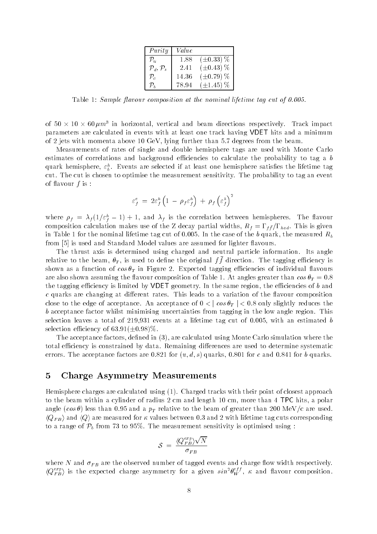| Purity                         | Value |                  |
|--------------------------------|-------|------------------|
| $\mathcal{P}_u$                | 1.88  | $(\pm 0.33)\,\%$ |
| $\mathcal{P}_d, \mathcal{P}_s$ | 2.41  | $(\pm 0.43)$ %   |
| $\mathcal{P}_e$                | 14.36 | $(\pm 0.79)$ %   |
| D,                             | 78.94 | $(\pm 1.45)$ %   |

Table 1: Sample flavour composition at the nominal lifetime tag cut of  $0.005$ .

of 50  $\times$  10  $\times$  60  $\mu m$  in norizontal, vertical and beam directions respectively. Track impact parameters are calculated in events with at least one track having VDET hits and a minimum of 2 jets with momenta above 10 GeV, lying further than 5.7 degrees from the beam.

Measurements of rates of single and double hemisphere tags are used with Monte Carlo estimates of correlations and background efficiencies to calculate the probability to tag a  $b$ quark hemisphere,  $\varepsilon_{b}^{h}.$  Events are selected if at least one hemisphere satisfies the lifetime tag cut. The cut is chosen to optimise the measurement sensitivity. The probability to tag an event of flavour  $f$  is:

$$
\varepsilon_f^e = 2\varepsilon_f^h \left(1 \ - \ \rho_f \varepsilon_f^h \right) \ + \ \rho_f \left(\varepsilon_f^h \right)^2
$$

where  $\rho_f = \lambda_f (1/\varepsilon_f^h - 1) + 1$ , and  $\lambda_f$  is the correlation between hemispheres. The flavour composition calculation makes use of the Z decay partial widths,  $R_f = \Gamma_{f\bar{f}}/\Gamma_{had}$ . This is given in Table 1 for the nominal lifetime tag cut of 0.005. In the case of the b quark, the measured  $R_b$ from [5] is used and Standard Model values are assumed for lighter flavours.

The thrust axis is determined using charged and neutral particle information. Its angle relative to the beam,  $v_T$ , is used to define the original  $f$  funection. The tagging emclency is shown as a function of  $\cos \theta_T$  in Figure 2. Expected tagging efficiencies of individual flavours are also shown assuming the flavour composition of Table 1. At angles greater than  $\cos \theta_T = 0.8$ the tagging efficiency is limited by VDET geometry. In the same region, the efficiencies of b and  $c$  quarks are changing at different rates. This leads to a variation of the flavour composition close to the edge of acceptance. An acceptance of  $0 < |\cos \theta_T| < 0.8$  only slightly reduces the b acceptance factor whilst minimising uncertainties from tagging in the low angle region. This selection leaves a total of 219,931 events at a lifetime tag cut of 0.005, with an estimated b selection efficiency of  $63.91(\pm0.98)\%$ .

The acceptance factors, defined in  $(3)$ , are calculated using Monte Carlo simulation where the total efficiency is constrained by data. Remaining differences are used to determine systematic errors. The acceptance factors are 0.821 for  $(u, d, s)$  quarks, 0.801 for c and 0.841 for b quarks.

## 5 Charge Asymmetry Measurements

Hemisphere charges are calculated using (1). Charged tracks with their point of closest approach to the beam within a cylinder of radius 2 cm and length 10 cm, more than 4 TPC hits, a polar angle  $(cos \theta)$  less than 0.95 and a  $p_T$  relative to the beam of greater than 200 MeV/c are used.  $\langle Q_{FB} \rangle$  and  $\langle Q \rangle$  are measured for  $\kappa$  values between 0.3 and 2 with lifetime tag cuts corresponding to a range of  $\mathcal{P}_b$  from 73 to 95%. The measurement sensitivity is optimised using :

$$
\mathcal{S}~=~\frac{\langle Q_{FB}^{exp} \rangle \sqrt{N}}{\sigma_{FB}}
$$

where N and  $\sigma_{FB}$  are the observed number of tagged events and charge flow width respectively.  $\langle Q_{FB}^{exp} \rangle$  is the expected charge asymmetry for a given  $sin^2\theta_W^{eff}$ ,  $\kappa$  and flavour composition.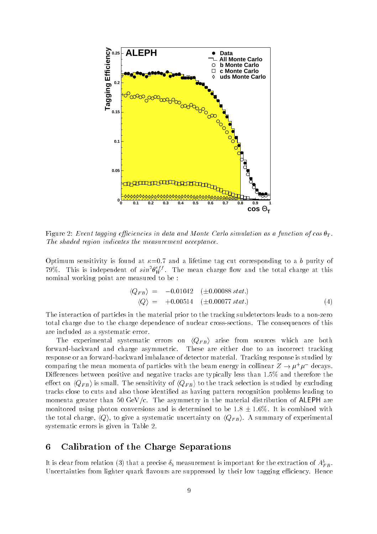

Figure 2: Event tagging efficiencies in data and Monte Carlo simulation as a function of  $\cos \theta_T$ . The shaded region indicates the measurement acceptance.

Optimum sensitivity is found at  $\kappa=0.7$  and a lifetime tag cut corresponding to a b purity of 79%. This is independent of  $sin^2\theta_W^{eff}$ . The mean charge flow and the total charge at this nominal working point are measured to be :

$$
\langle Q_{FB} \rangle = -0.01042 \quad (\pm 0.00088 \text{ stat.}) \n\langle Q \rangle = +0.00514 \quad (\pm 0.00077 \text{ stat.})
$$
\n(4)

The interaction of particles in the material prior to the tracking subdetectors leads to a non-zero total charge due to the charge dependence of nuclear cross-sections. The consequences of this are included as a systematic error.

The experimental systematic errors on  $\langle Q_{FB} \rangle$  arise from sources which are both forward-backward and charge asymmetric. These are either due to an incorrect tracking response or an forward-backward imbalance of detector material. Tracking response is studied by comparing the mean momenta of particles with the beam energy in collinear  $Z \to \mu^+ \mu^-$  decays. Differences between positive and negative tracks are typically less than  $1.5\%$  and therefore the effect on  $\langle Q_{FB} \rangle$  is small. The sensitivity of  $\langle Q_{FB} \rangle$  to the track selection is studied by excluding tracks close to cuts and also those identied as having pattern recognition problems leading to momenta greater than 50 GeV/c. The asymmetry in the material distribution of ALEPH are monitored using photon conversions and is determined to be  $1.8 \pm 1.6\%$ . It is combined with the total charge,  $\langle Q \rangle$ , to give a systematic uncertainty on  $\langle Q_{FB} \rangle$ . A summary of experimental systematic errors is given in Table 2.

### 6 Calibration of the Charge Separations

It is clear from relation (3) that a precise  $\delta_b$  measurement is important for the extraction of  $A_{FB}^b$  . Uncertainties from lighter quark flavours are suppressed by their low tagging efficiency. Hence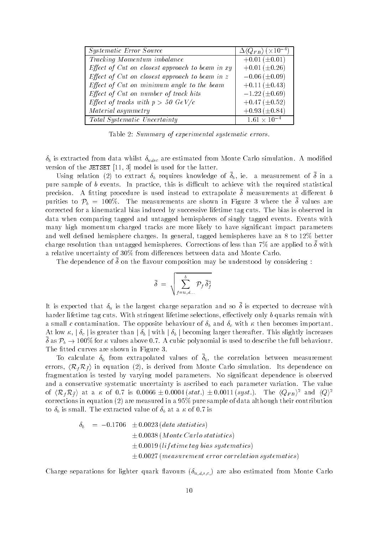| Systematic Error Source                           | $\Delta \langle Q_{FB} \rangle$ ( $\times 10^{-4}$ ) |
|---------------------------------------------------|------------------------------------------------------|
| Tracking Momentum imbalance                       | $+0.01 (\pm 0.01)$                                   |
| Effect of Cut on closest approach to beam in $xy$ | $+0.01 (\pm 0.26)$                                   |
| Effect of Cut on closest approach to beam in $z$  | $-0.06 \ (\pm 0.09)$                                 |
| Effect of Cut on minimum angle to the beam        | $+0.11 (\pm 0.43)$                                   |
| Effect of Cut on number of track hits             | $-1.22 \ (\pm 0.69)$                                 |
| Effect of tracks with $p > 50$ GeV/c              | $+0.47 (\pm 0.52)$                                   |
| Material asymmetry                                | $+0.93 \ (\pm 0.84)$                                 |
| <b>Total Systematic Uncertainty</b>               | $1.61\times10^{-4}$                                  |

Table 2: Summary of experimental systematic errors.

 $\delta_b$  is extracted from data whilst  $\delta_{u dsc}$  are estimated from Monte Carlo simulation. A modified version of the JETSET [11, 3] model is used for the latter.

Using relation (2) to extract  $v_b$  requires knowledge or  $v_b$ , ie. a measurement or  $v$  in a pure sample of  $b$  events. In practice, this is difficult to achieve with the required statistical precision. A tting procedure is used instead to extrapolate measurements at dierent b purities to  $r_b = 100/0$ . The ineasurements are shown in Figure 3 where the  $\sigma$  values are corrected for a kinematical bias induced by successive lifetime tag cuts. The bias is observed in data when comparing tagged and untagged hemispheres of singly tagged events. Events with many high momentum charged tracks are more likely to have signicant impact parameters and well defined hemisphere charges. In general, tagged hemispheres have an  $8$  to  $12\%$  better charge resolution than untagged hemispheres. Corrections of less than 7% are applied to with a relative uncertainty of 30% from differences between data and Monte Carlo.

I he dependence of a on the havour composition may be understood by considering.

$$
\bar{\delta} = \sqrt{\sum_{f=u,d...}^{b} \mathcal{P}_f \, \bar{\delta}_f^2}
$$

It is expected that  $v_u$  is the largest charge separation and so  $\sigma$  is expected to decrease with harder lifetime tag cuts. With stringent lifetime selections, effectively only  $b$  quarks remain with a small c contamination. The opposite behaviour of  $\delta_b$  and  $\delta_c$  with  $\kappa$  then becomes important. At low  $\kappa$ ,  $\delta_c$  is greater than  $\delta_b$  with  $\delta_b$  becoming larger thereafter. This slightly increases  $\sigma$  as  $\mu_b \to 100$  % for  $\kappa$  values above 0.7. A cubic polynomial is used to describe the full behaviour. The fitted curves are shown in Figure 3.

To calculate  $\sigma_b$  from extrapolated values of  $\sigma_b$ , the correlation between ineasurement errors,  $\langle \mathcal{R}_f \mathcal{R}_{\bar{f}} \rangle$  in equation (2), is derived from Monte Carlo simulation. Its dependence on fragmentation is tested by varying model parameters. No signicant dependence is observed and a conservative systematic uncertainty is ascribed to each parameter variation. The value of  $\langle \kappa_f \kappa_{\bar{f}} \rangle$  at a  $\kappa$  of 0.7 is 0.0006  $\pm$  0.0004 (stat.)  $\pm$  0.0011 (syst.). The  $\langle Q_{FB} \rangle$  and  $\langle Q \rangle$ corrections in equation (2) are measured in a 95% pure sample of data although their contribution to  $\delta_b$  is small. The extracted value of  $\delta_b$  at a  $\kappa$  of 0.7 is

$$
\delta_b = -0.1706 \pm 0.0023 \text{ (data statistics)}
$$
  
\n
$$
\pm 0.0038 \text{ (Monte Carlo statistics)}
$$
  
\n
$$
\pm 0.0019 \text{ (lifetime tag bias systematics)}
$$
  
\n
$$
\pm 0.0027 \text{ (measurement error correlation systematics)}
$$

Charge separations for lighter quark flavours  $(\delta_{u,d,s,c})$  are also estimated from Monte Carlo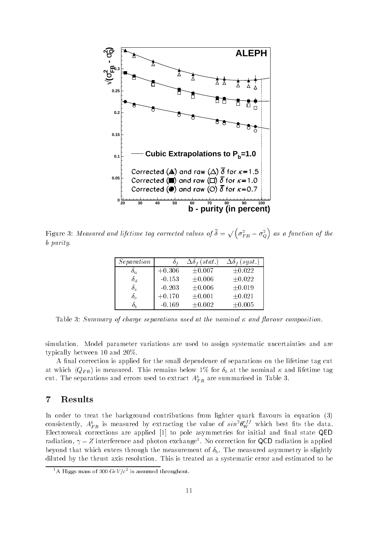

Figure 3: Measured and lifetime tag corrected values of  $\bar{\delta}=\sqrt{\left(\sigma_{FB}^{2}-\sigma_{Q}^{2}\right)}$  as  $\mathbf{v}$  and  $\mathbf{v}$  are all  $\mathbf{v}$  and  $\mathbf{v}$  are all  $\mathbf{v}$ as a function of the function of the function of the function of the function of the function of the function o b purity.

| Separation |          | (stat.)     | (syst.)     |
|------------|----------|-------------|-------------|
| $O_{\eta}$ | $+0.306$ | $\pm 0.007$ | $\pm 0.022$ |
| $\delta_d$ | $-0.153$ | $\pm 0.006$ | $\pm 0.022$ |
| $\delta_s$ | $-0.203$ | $\pm 0.006$ | ±0.019      |
| $\delta_c$ | $+0.170$ | ±0.001      | ±0.021      |
|            | $-0.169$ | $\pm 0.002$ | $\pm 0.005$ |

Table 3: Summary of charge separations used at the nominal  $\kappa$  and flavour composition.

simulation. Model parameter variations are used to assign systematic uncertainties and are typically between 10 and 20%.

A final correction is applied for the small dependence of separations on the lifetime tag cut at which  $\langle Q_{FB} \rangle$  is measured. This remains below 1% for  $\delta_b$  at the nominal  $\kappa$  and lifetime tag cut. The separations and errors used to extract  $A_{FB}^b$  are summarised in Table 3.  $\hspace{0.2cm}$ 

## 7 Results

In order to treat the background contributions from lighter quark flavours in equation (3) consistently,  $A_{FB}^b$  is measured by extracting the value of  $sin^2\theta_W^{eff}$  which best fits the data. Electroweak corrections are applied  $[1]$  to pole asymmetries for initial and final state QED radiation,  $\gamma - z$  interference and photon exchange . No correction for QCD radiation is applied beyond that which enters through the measurement of  $\delta_b$ . The measured asymmetry is slightly diluted by the thrust axis resolution. This is treated as a systematic error and estimated to be

 $\Delta$  Higgs mass of 300 GeV/c<sup>-</sup> is assumed throughout.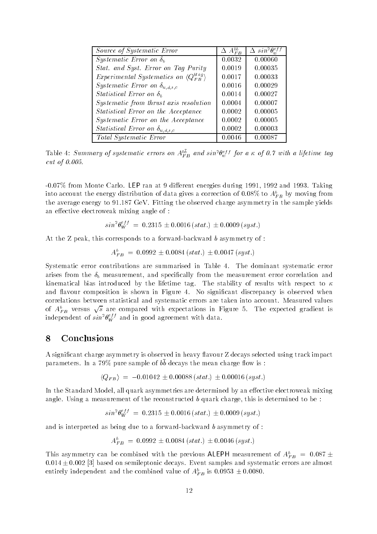| Source of Systematic Error                                  | $\Delta A_{FB}^{bb}$ | $\Delta \, sin^2\theta_w^{eff}$ |
|-------------------------------------------------------------|----------------------|---------------------------------|
| Systematic Error on $\delta_b$                              | 0.0032               | 0.00060                         |
| Stat. and Syst. Error on Tag Purity                         | 0.0019               | 0.00035                         |
| Experimental Systematics on $\langle Q_{FB}^{btag} \rangle$ | 0.0017               | 0.00033                         |
| <i>Systematic Error on</i> $\delta_{u,d,s,c}$               | 0.0016               | 0.00029                         |
| Statistical Error on $\delta_h$                             | 0.0014               | 0.00027                         |
| Systematic from thrust axis resolution                      | 0.0004               | 0.00007                         |
| Statistical Error on the Acceptance                         | 0.0002               | 0.00005                         |
| Systematic Error on the Acceptance                          | 0.0002               | 0.00005                         |
| Statistical Error on $\delta_{u,d,s,c}$                     | 0.0002               | 0.00003                         |
| Total Systematic Error                                      | 0.0046               | 0.00087                         |

Table 4: Summary of systematic errors on  $A_{FB}^{bb}$  and  $sin^2\theta_w^{eff}$  for a  $\kappa$  of 0.7 with a lifetime tag cut of 0.005.

-0.07% from Monte Carlo. LEP ran at 9 different energies during 1991, 1992 and 1993. Taking into account the energy distribution of data gives a correction of 0.08% to  $A_{FB}^b$  by moving from the average energy to 91.187 GeV. Fitting the observed charge asymmetry in the sample yields an effective electroweak mixing angle of :

$$
\sin^2 \theta_W^{eff} = 0.2315 \pm 0.0016 \, (stat.) \pm 0.0009 \, (syst.)
$$

At the Z peak, this corresponds to a forward-backward b asymmetry of :

$$
A_{FB}^b = 0.0992 \pm 0.0084 \, (stat.) \pm 0.0047 \, (syst.)
$$

Systematic error contributions are summarised in Table 4. The dominant systematic error arises from the  $\delta_b$  measurement, and specifically from the measurement error correlation and kinematical bias introduced by the lifetime tag. The stability of results with respect to  $\kappa$ and flavour composition is shown in Figure 4. No significant discrepancy is observed when correlations between statistical and systematic errors are taken into account. Measured values of  $A_{FB}^{b}$  versus  $\sqrt{s}$  are compared with expectations in Figure 5. The expected gradient is independent of  $sin^2\theta_W^{eff}$  and in good agreement with data.

#### 8 Conclusions

A significant charge asymmetry is observed in heavy flavour Z decays selected using track impact parameters. In a  $\frac{13}{0}$  pure sample of  $\frac{1}{0}$  decays the mean charge now is.

$$
\langle Q_{FB} \rangle = -0.01042 \pm 0.00088 \, (stat.) \pm 0.00016 \, (syst.)
$$

In the Standard Model, all quark asymmetries are determined by an effective electroweak mixing angle. Using a measurement of the reconstructed b quark charge, this is determined to be :

$$
\sin^2\theta_W^{eff} = 0.2315 \pm 0.0016 \, (stat.) \pm 0.0009 \, (syst.)
$$

and is interpreted as being due to a forward-backward b asymmetry of :

$$
A_{FB}^b = 0.0992 \pm 0.0084 \, (stat.) \pm 0.0046 \, (syst.)
$$

This asymmetry can be combined with the previous <code>ALEPH</code> measurement of  $A_{FB}^b~=~0.087\pm$  $0.014 \pm 0.002$  [3] based on semileptonic decays. Event samples and systematic errors are almost entirely independent and the combined value of  $A_{FB}^b$  is  $0.0953 \pm 0.0080.$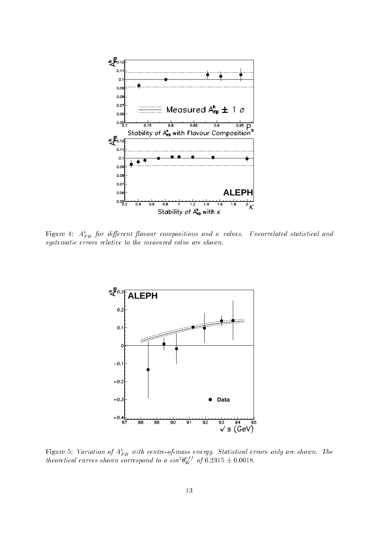

Figure 4:  $A_{FB}^b$  for different flavour compositions and  $\kappa$  values. Uncorrelated statistical and systematic errors relative to the measured value are shown.



Figure 5: Variation of  $A_{FB}^b$  with centre-of-mass energy. Statistical errors only are shown. The theoretical curves shown correspond to a  $sin^2\theta_W^{eff}$  of 0.2315  $\pm$  0.0018.